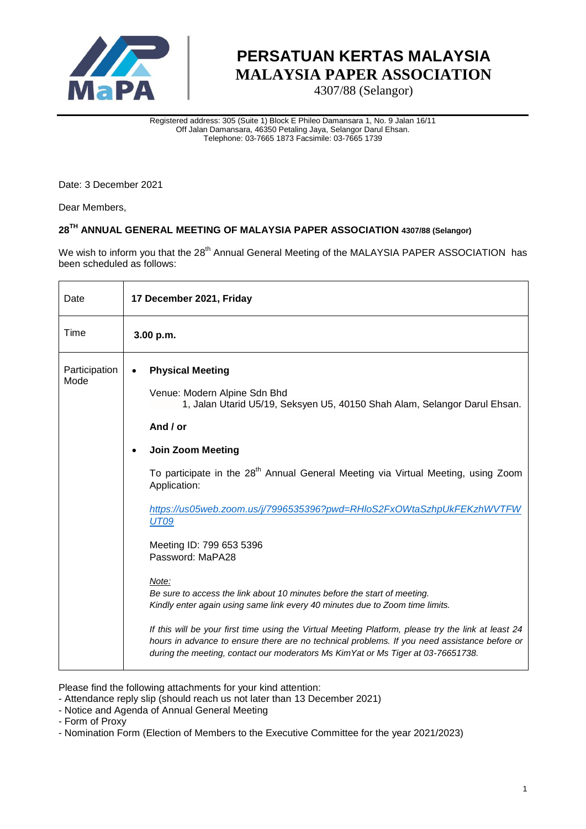

4307/88 (Selangor)

Registered address: 305 (Suite 1) Block E Phileo Damansara 1, No. 9 Jalan 16/11 Off Jalan Damansara, 46350 Petaling Jaya, Selangor Darul Ehsan. Telephone: 03-7665 1873 Facsimile: 03-7665 1739

Date: 3 December 2021

Dear Members,

### **28TH ANNUAL GENERAL MEETING OF MALAYSIA PAPER ASSOCIATION 4307/88 (Selangor)**

We wish to inform you that the 28<sup>th</sup> Annual General Meeting of the MALAYSIA PAPER ASSOCIATION has been scheduled as follows:

| Date                  | 17 December 2021, Friday                                                                                                                                                                                                                                                                                                                                                                                                                                                                                                                                                                                                                                                                                                                                                                                                                                                                                    |  |  |  |  |
|-----------------------|-------------------------------------------------------------------------------------------------------------------------------------------------------------------------------------------------------------------------------------------------------------------------------------------------------------------------------------------------------------------------------------------------------------------------------------------------------------------------------------------------------------------------------------------------------------------------------------------------------------------------------------------------------------------------------------------------------------------------------------------------------------------------------------------------------------------------------------------------------------------------------------------------------------|--|--|--|--|
| Time                  | 3.00 p.m.                                                                                                                                                                                                                                                                                                                                                                                                                                                                                                                                                                                                                                                                                                                                                                                                                                                                                                   |  |  |  |  |
| Participation<br>Mode | <b>Physical Meeting</b><br>$\bullet$<br>Venue: Modern Alpine Sdn Bhd<br>1, Jalan Utarid U5/19, Seksyen U5, 40150 Shah Alam, Selangor Darul Ehsan.<br>And / or<br><b>Join Zoom Meeting</b><br>To participate in the 28 <sup>th</sup> Annual General Meeting via Virtual Meeting, using Zoom<br>Application:<br>https://us05web.zoom.us/j/7996535396?pwd=RHIoS2FxOWtaSzhpUkFEKzhWVTFW<br>UT09<br>Meeting ID: 799 653 5396<br>Password: MaPA28<br>Note:<br>Be sure to access the link about 10 minutes before the start of meeting.<br>Kindly enter again using same link every 40 minutes due to Zoom time limits.<br>If this will be your first time using the Virtual Meeting Platform, please try the link at least 24<br>hours in advance to ensure there are no technical problems. If you need assistance before or<br>during the meeting, contact our moderators Ms KimYat or Ms Tiger at 03-76651738. |  |  |  |  |

Please find the following attachments for your kind attention:

- Attendance reply slip (should reach us not later than 13 December 2021)

- Notice and Agenda of Annual General Meeting

- Form of Proxy

- Nomination Form (Election of Members to the Executive Committee for the year 2021/2023)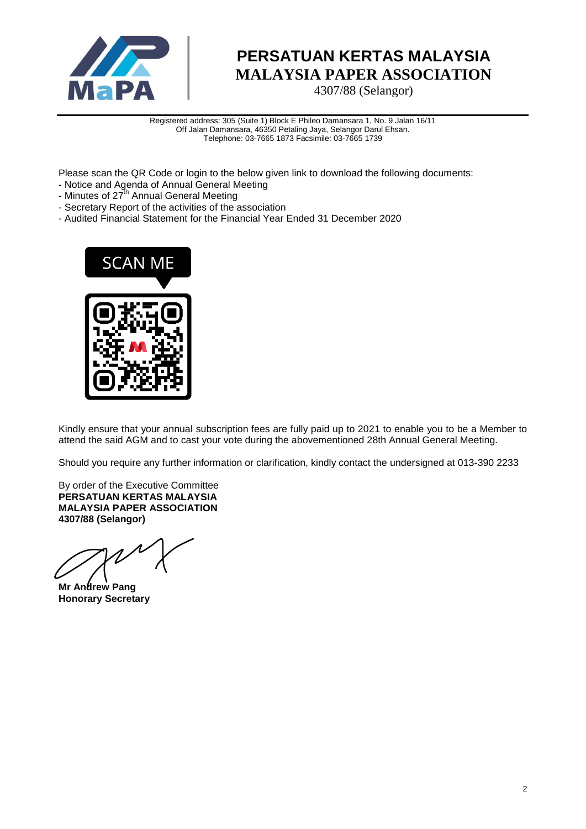

4307/88 (Selangor)

Registered address: 305 (Suite 1) Block E Phileo Damansara 1, No. 9 Jalan 16/11 Off Jalan Damansara, 46350 Petaling Jaya, Selangor Darul Ehsan. Telephone: 03-7665 1873 Facsimile: 03-7665 1739

Please scan the QR Code or login to the below given link to download the following documents:

- Notice and Agenda of Annual General Meeting
- Minutes of 27<sup>th</sup> Annual General Meeting
- Secretary Report of the activities of the association
- Audited Financial Statement for the Financial Year Ended 31 December 2020



Kindly ensure that your annual subscription fees are fully paid up to 2021 to enable you to be a Member to attend the said AGM and to cast your vote during the abovementioned 28th Annual General Meeting.

Should you require any further information or clarification, kindly contact the undersigned at 013-390 2233

By order of the Executive Committee **PERSATUAN KERTAS MALAYSIA MALAYSIA PAPER ASSOCIATION 4307/88 (Selangor)**

**Mr Andrew Pang Honorary Secretary**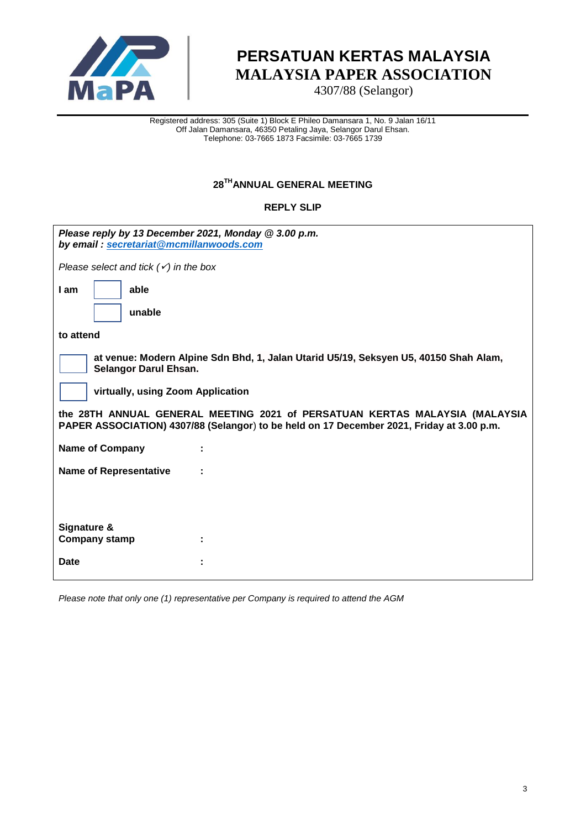

4307/88 (Selangor)

Registered address: 305 (Suite 1) Block E Phileo Damansara 1, No. 9 Jalan 16/11 Off Jalan Damansara, 46350 Petaling Jaya, Selangor Darul Ehsan. Telephone: 03-7665 1873 Facsimile: 03-7665 1739

#### **28 THANNUAL GENERAL MEETING**

#### **REPLY SLIP**

| Please reply by 13 December 2021, Monday @ 3.00 p.m.<br>by email: secretariat@mcmillanwoods.com                                                                          |  |  |  |  |  |  |
|--------------------------------------------------------------------------------------------------------------------------------------------------------------------------|--|--|--|--|--|--|
| Please select and tick $(\checkmark)$ in the box                                                                                                                         |  |  |  |  |  |  |
| able<br>I am                                                                                                                                                             |  |  |  |  |  |  |
| unable                                                                                                                                                                   |  |  |  |  |  |  |
| to attend                                                                                                                                                                |  |  |  |  |  |  |
| at venue: Modern Alpine Sdn Bhd, 1, Jalan Utarid U5/19, Seksyen U5, 40150 Shah Alam,<br><b>Selangor Darul Ehsan.</b>                                                     |  |  |  |  |  |  |
| virtually, using Zoom Application                                                                                                                                        |  |  |  |  |  |  |
| the 28TH ANNUAL GENERAL MEETING 2021 of PERSATUAN KERTAS MALAYSIA (MALAYSIA<br>PAPER ASSOCIATION) 4307/88 (Selangor) to be held on 17 December 2021, Friday at 3.00 p.m. |  |  |  |  |  |  |
| <b>Name of Company</b>                                                                                                                                                   |  |  |  |  |  |  |
| <b>Name of Representative</b>                                                                                                                                            |  |  |  |  |  |  |
|                                                                                                                                                                          |  |  |  |  |  |  |
|                                                                                                                                                                          |  |  |  |  |  |  |
| Signature &<br><b>Company stamp</b>                                                                                                                                      |  |  |  |  |  |  |
| Date                                                                                                                                                                     |  |  |  |  |  |  |
|                                                                                                                                                                          |  |  |  |  |  |  |

*Please note that only one (1) representative per Company is required to attend the AGM*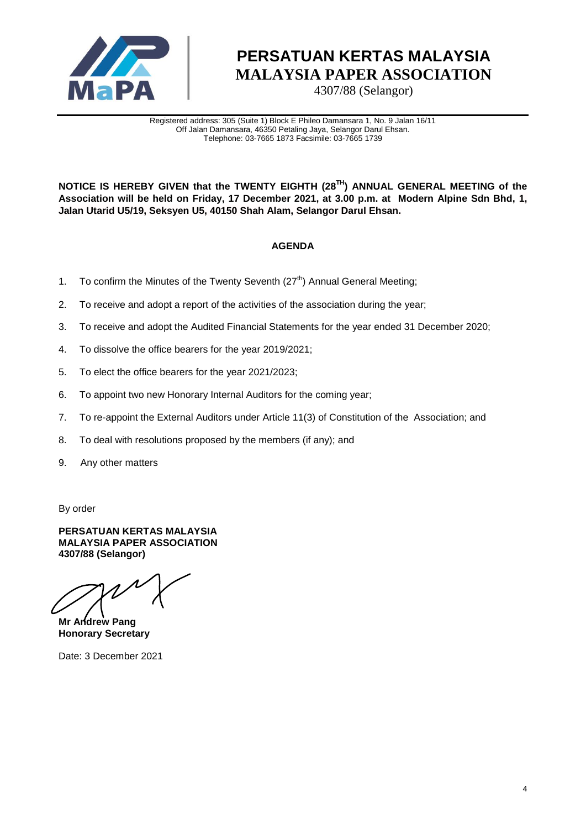

4307/88 (Selangor)

Registered address: 305 (Suite 1) Block E Phileo Damansara 1, No. 9 Jalan 16/11 Off Jalan Damansara, 46350 Petaling Jaya, Selangor Darul Ehsan. Telephone: 03-7665 1873 Facsimile: 03-7665 1739

**NOTICE IS HEREBY GIVEN that the TWENTY EIGHTH (28TH) ANNUAL GENERAL MEETING of the Association will be held on Friday, 17 December 2021, at 3.00 p.m. at Modern Alpine Sdn Bhd, 1, Jalan Utarid U5/19, Seksyen U5, 40150 Shah Alam, Selangor Darul Ehsan.**

#### **AGENDA**

- 1. To confirm the Minutes of the Twenty Seventh  $(27<sup>th</sup>)$  Annual General Meeting;
- 2. To receive and adopt a report of the activities of the association during the year;
- 3. To receive and adopt the Audited Financial Statements for the year ended 31 December 2020;
- 4. To dissolve the office bearers for the year 2019/2021;
- 5. To elect the office bearers for the year 2021/2023;
- 6. To appoint two new Honorary Internal Auditors for the coming year;
- 7. To re-appoint the External Auditors under Article 11(3) of Constitution of the Association; and
- 8. To deal with resolutions proposed by the members (if any); and
- 9. Any other matters

By order

**PERSATUAN KERTAS MALAYSIA MALAYSIA PAPER ASSOCIATION 4307/88 (Selangor)**

**Mr Andrew Pang Honorary Secretary**

Date: 3 December 2021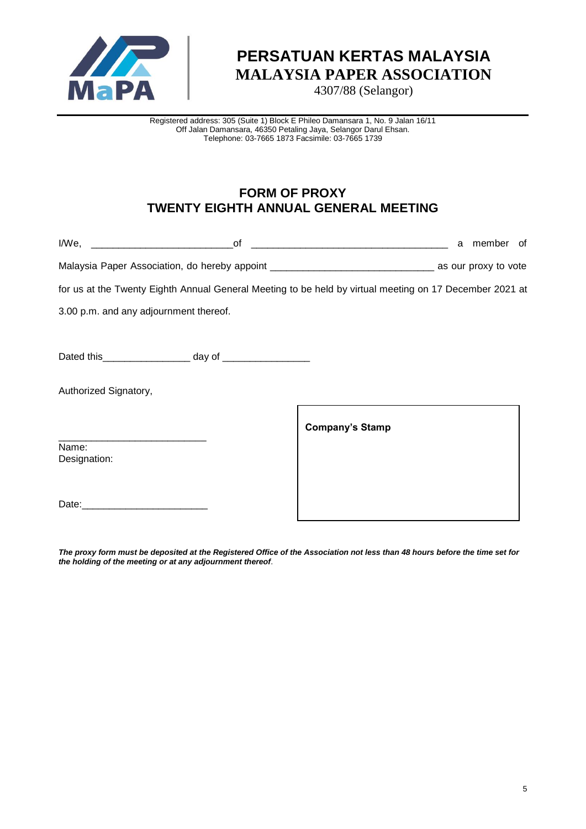

4307/88 (Selangor)

Registered address: 305 (Suite 1) Block E Phileo Damansara 1, No. 9 Jalan 16/11 Off Jalan Damansara, 46350 Petaling Jaya, Selangor Darul Ehsan. Telephone: 03-7665 1873 Facsimile: 03-7665 1739

#### **FORM OF PROXY TWENTY EIGHTH ANNUAL GENERAL MEETING**

|                                        | of |                                                                                                         | a member of |  |
|----------------------------------------|----|---------------------------------------------------------------------------------------------------------|-------------|--|
|                                        |    |                                                                                                         |             |  |
|                                        |    | for us at the Twenty Eighth Annual General Meeting to be held by virtual meeting on 17 December 2021 at |             |  |
| 3.00 p.m. and any adjournment thereof. |    |                                                                                                         |             |  |
|                                        |    |                                                                                                         |             |  |
|                                        |    |                                                                                                         |             |  |
| Authorized Signatory,                  |    |                                                                                                         |             |  |
|                                        |    | <b>Company's Stamp</b>                                                                                  |             |  |
| Name:<br>Designation:                  |    |                                                                                                         |             |  |
| Date: Date:                            |    |                                                                                                         |             |  |

*The proxy form must be deposited at the Registered Office of the Association not less than 48 hours before the time set for the holding of the meeting or at any adjournment thereof*.